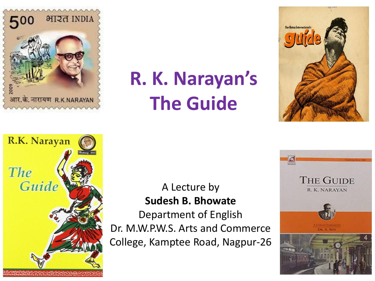

# **R. K. Narayan's The Guide**





A Lecture by **Sudesh B. Bhowate**

Department of English Dr. M.W.P.W.S. Arts and Commerce College, Kamptee Road, Nagpur-26

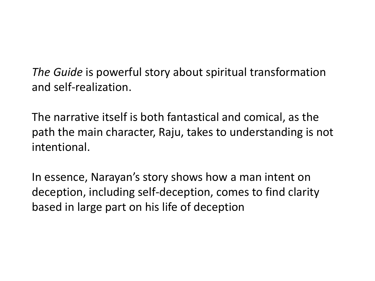*The Guide* is powerful story about spiritual transformation and self-realization.

The narrative itself is both fantastical and comical, as the path the main character, Raju, takes to understanding is not intentional.

In essence, Narayan's story shows how a man intent on deception, including self-deception, comes to find clarity based in large part on his life of deception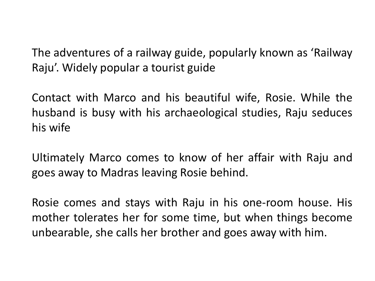The adventures of a railway guide, popularly known as 'Railway Raju'. Widely popular a tourist guide

Contact with Marco and his beautiful wife, Rosie. While the husband is busy with his archaeological studies, Raju seduces his wife

Ultimately Marco comes to know of her affair with Raju and goes away to Madras leaving Rosie behind.

Rosie comes and stays with Raju in his one-room house. His mother tolerates her for some time, but when things become unbearable, she calls her brother and goes away with him.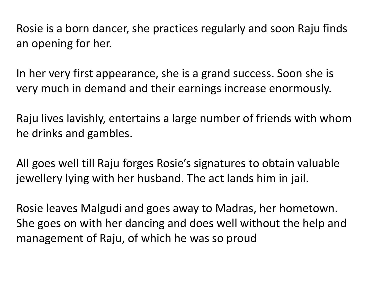Rosie is a born dancer, she practices regularly and soon Raju finds an opening for her.

In her very first appearance, she is a grand success. Soon she is very much in demand and their earnings increase enormously.

Raju lives lavishly, entertains a large number of friends with whom he drinks and gambles.

All goes well till Raju forges Rosie's signatures to obtain valuable jewellery lying with her husband. The act lands him in jail.

Rosie leaves Malgudi and goes away to Madras, her hometown. She goes on with her dancing and does well without the help and management of Raju, of which he was so proud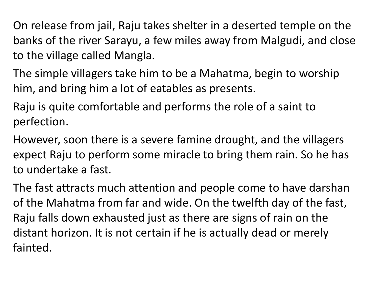On release from jail, Raju takes shelter in a deserted temple on the banks of the river Sarayu, a few miles away from Malgudi, and close to the village called Mangla.

The simple villagers take him to be a Mahatma, begin to worship him, and bring him a lot of eatables as presents.

Raju is quite comfortable and performs the role of a saint to perfection.

However, soon there is a severe famine drought, and the villagers expect Raju to perform some miracle to bring them rain. So he has to undertake a fast.

The fast attracts much attention and people come to have darshan of the Mahatma from far and wide. On the twelfth day of the fast, Raju falls down exhausted just as there are signs of rain on the distant horizon. It is not certain if he is actually dead or merely fainted.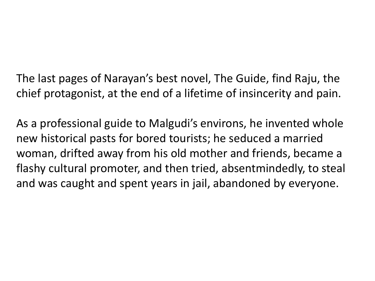The last pages of Narayan's best novel, The Guide, find Raju, the chief protagonist, at the end of a lifetime of insincerity and pain.

As a professional guide to Malgudi's environs, he invented whole new historical pasts for bored tourists; he seduced a married woman, drifted away from his old mother and friends, became a flashy cultural promoter, and then tried, absentmindedly, to steal and was caught and spent years in jail, abandoned by everyone.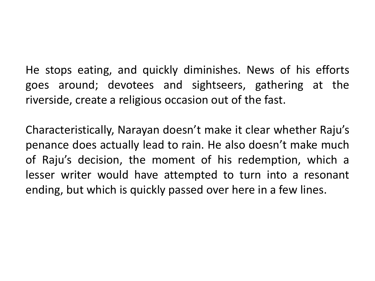He stops eating, and quickly diminishes. News of his efforts goes around; devotees and sightseers, gathering at the riverside, create a religious occasion out of the fast.

Characteristically, Narayan doesn't make it clear whether Raju's penance does actually lead to rain. He also doesn't make much of Raju's decision, the moment of his redemption, which a lesser writer would have attempted to turn into a resonant ending, but which is quickly passed over here in a few lines.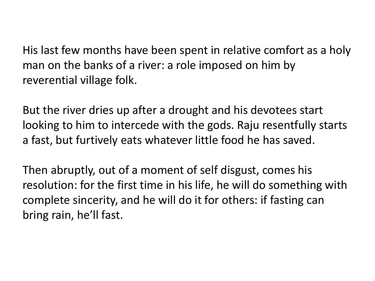His last few months have been spent in relative comfort as a holy man on the banks of a river: a role imposed on him by reverential village folk.

But the river dries up after a drought and his devotees start looking to him to intercede with the gods. Raju resentfully starts a fast, but furtively eats whatever little food he has saved.

Then abruptly, out of a moment of self disgust, comes his resolution: for the first time in his life, he will do something with complete sincerity, and he will do it for others: if fasting can bring rain, he'll fast.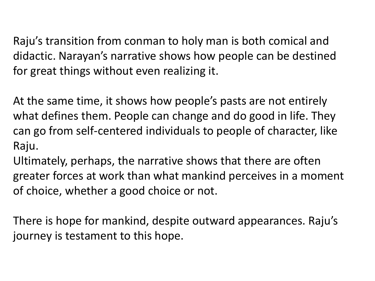Raju's transition from conman to holy man is both comical and didactic. Narayan's narrative shows how people can be destined for great things without even realizing it.

At the same time, it shows how people's pasts are not entirely what defines them. People can change and do good in life. They can go from self-centered individuals to people of character, like Raju.

Ultimately, perhaps, the narrative shows that there are often greater forces at work than what mankind perceives in a moment of choice, whether a good choice or not.

There is hope for mankind, despite outward appearances. Raju's journey is testament to this hope.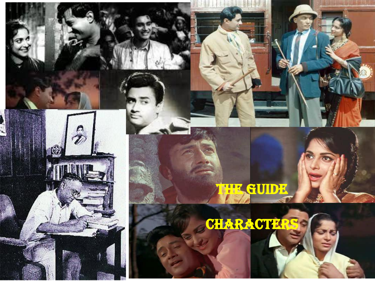

# The Guide i. CHARACTERS-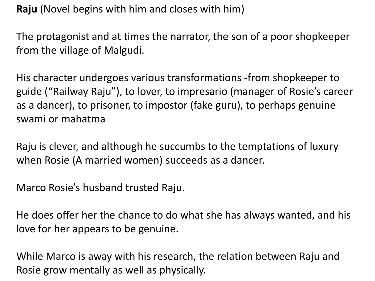**Raju** (Novel begins with him and closes with him)

The protagonist and at times the narrator, the son of a poor shopkeeper from the village of Malgudi.

His character undergoes various transformations -from shopkeeper to guide ("Railway Raju"), to lover, to impresario (manager of Rosie's career as a dancer), to prisoner, to impostor (fake guru), to perhaps genuine swami or mahatma

Raju is clever, and although he succumbs to the temptations of luxury when Rosie (A married women) succeeds as a dancer.

Marco Rosie's husband trusted Raju.

He does offer her the chance to do what she has always wanted, and his love for her appears to be genuine.

While Marco is away with his research, the relation between Raju and Rosie grow mentally as well as physically.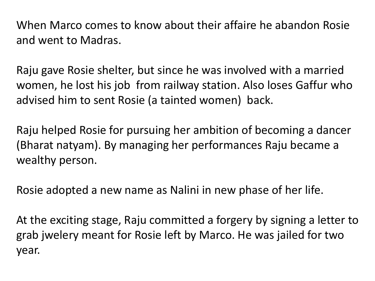When Marco comes to know about their affaire he abandon Rosie and went to Madras.

Raju gave Rosie shelter, but since he was involved with a married women, he lost his job from railway station. Also loses Gaffur who advised him to sent Rosie (a tainted women) back.

Raju helped Rosie for pursuing her ambition of becoming a dancer (Bharat natyam). By managing her performances Raju became a wealthy person.

Rosie adopted a new name as Nalini in new phase of her life.

At the exciting stage, Raju committed a forgery by signing a letter to grab jwelery meant for Rosie left by Marco. He was jailed for two year.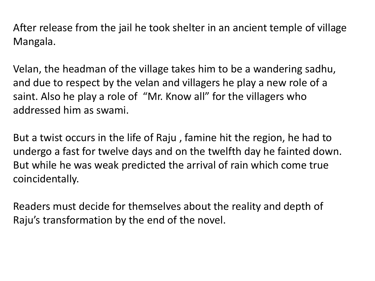After release from the jail he took shelter in an ancient temple of village Mangala.

Velan, the headman of the village takes him to be a wandering sadhu, and due to respect by the velan and villagers he play a new role of a saint. Also he play a role of "Mr. Know all" for the villagers who addressed him as swami.

But a twist occurs in the life of Raju , famine hit the region, he had to undergo a fast for twelve days and on the twelfth day he fainted down. But while he was weak predicted the arrival of rain which come true coincidentally.

Readers must decide for themselves about the reality and depth of Raju's transformation by the end of the novel.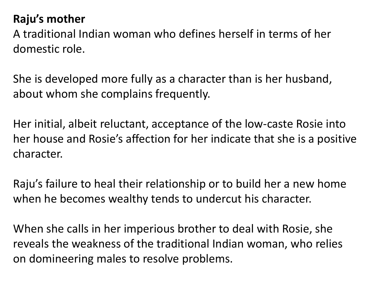# **Raju's mother**

A traditional Indian woman who defines herself in terms of her domestic role.

She is developed more fully as a character than is her husband, about whom she complains frequently.

Her initial, albeit reluctant, acceptance of the low-caste Rosie into her house and Rosie's affection for her indicate that she is a positive character.

Raju's failure to heal their relationship or to build her a new home when he becomes wealthy tends to undercut his character.

When she calls in her imperious brother to deal with Rosie, she reveals the weakness of the traditional Indian woman, who relies on domineering males to resolve problems.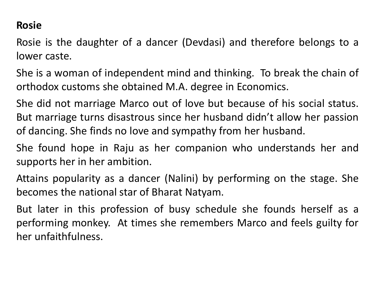## **Rosie**

Rosie is the daughter of a dancer (Devdasi) and therefore belongs to a lower caste.

She is a woman of independent mind and thinking. To break the chain of orthodox customs she obtained M.A. degree in Economics.

She did not marriage Marco out of love but because of his social status. But marriage turns disastrous since her husband didn't allow her passion of dancing. She finds no love and sympathy from her husband.

She found hope in Raju as her companion who understands her and supports her in her ambition.

Attains popularity as a dancer (Nalini) by performing on the stage. She becomes the national star of Bharat Natyam.

But later in this profession of busy schedule she founds herself as a performing monkey. At times she remembers Marco and feels guilty for her unfaithfulness.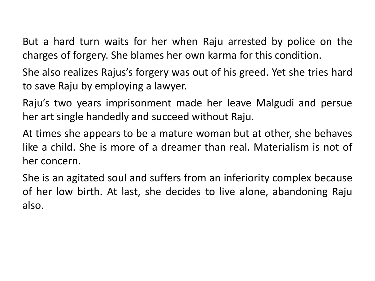But a hard turn waits for her when Raju arrested by police on the charges of forgery. She blames her own karma for this condition.

She also realizes Rajus's forgery was out of his greed. Yet she tries hard to save Raju by employing a lawyer.

Raju's two years imprisonment made her leave Malgudi and persue her art single handedly and succeed without Raju.

At times she appears to be a mature woman but at other, she behaves like a child. She is more of a dreamer than real. Materialism is not of her concern.

She is an agitated soul and suffers from an inferiority complex because of her low birth. At last, she decides to live alone, abandoning Raju also.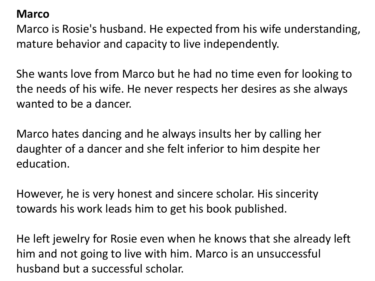## **Marco**

Marco is Rosie's husband. He expected from his wife understanding, mature behavior and capacity to live independently.

She wants love from Marco but he had no time even for looking to the needs of his wife. He never respects her desires as she always wanted to be a dancer.

Marco hates dancing and he always insults her by calling her daughter of a dancer and she felt inferior to him despite her education.

However, he is very honest and sincere scholar. His sincerity towards his work leads him to get his book published.

He left jewelry for Rosie even when he knows that she already left him and not going to live with him. Marco is an unsuccessful husband but a successful scholar.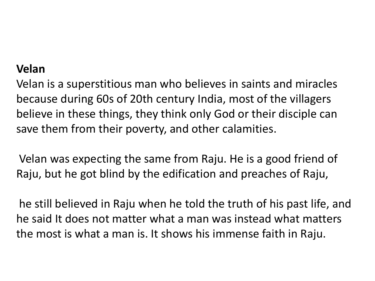# **Velan**

Velan is a superstitious man who believes in saints and miracles because during 60s of 20th century India, most of the villagers believe in these things, they think only God or their disciple can save them from their poverty, and other calamities.

Velan was expecting the same from Raju. He is a good friend of Raju, but he got blind by the edification and preaches of Raju,

he still believed in Raju when he told the truth of his past life, and he said It does not matter what a man was instead what matters the most is what a man is. It shows his immense faith in Raju.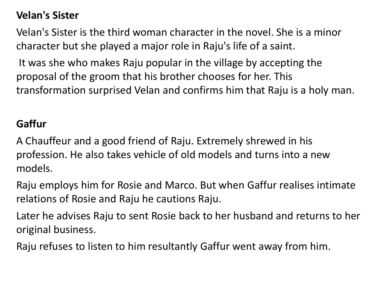# **Velan's Sister**

Velan's Sister is the third woman character in the novel. She is a minor character but she played a major role in Raju's life of a saint.

It was she who makes Raju popular in the village by accepting the proposal of the groom that his brother chooses for her. This transformation surprised Velan and confirms him that Raju is a holy man.

### **Gaffur**

A Chauffeur and a good friend of Raju. Extremely shrewed in his profession. He also takes vehicle of old models and turns into a new models.

Raju employs him for Rosie and Marco. But when Gaffur realises intimate relations of Rosie and Raju he cautions Raju.

Later he advises Raju to sent Rosie back to her husband and returns to her original business.

Raju refuses to listen to him resultantly Gaffur went away from him.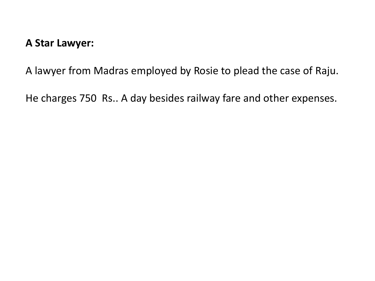#### **A Star Lawyer:**

A lawyer from Madras employed by Rosie to plead the case of Raju.

He charges 750 Rs.. A day besides railway fare and other expenses.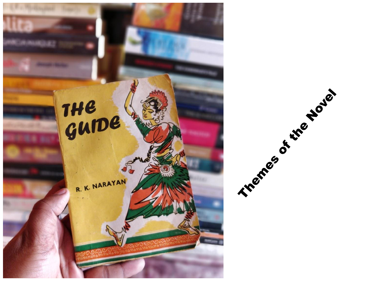

![](_page_20_Figure_1.jpeg)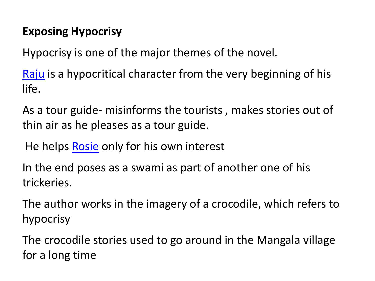# **Exposing Hypocrisy**

Hypocrisy is one of the major themes of the novel.

[Raju](https://www.gradesaver.com/the-guide/study-guide/character-list) is a hypocritical character from the very beginning of his life.

As a tour guide- misinforms the tourists , makes stories out of thin air as he pleases as a tour guide.

He helps [Rosie](https://www.gradesaver.com/the-guide/study-guide/character-list) only for his own interest

In the end poses as a swami as part of another one of his trickeries.

The author works in the imagery of a crocodile, which refers to hypocrisy

The crocodile stories used to go around in the Mangala village for a long time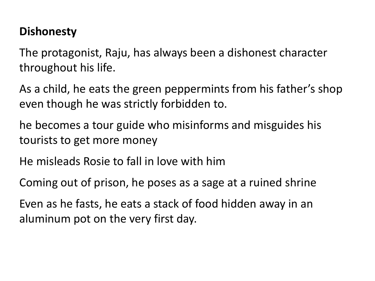# **Dishonesty**

The protagonist, Raju, has always been a dishonest character throughout his life.

As a child, he eats the green peppermints from his father's shop even though he was strictly forbidden to.

he becomes a tour guide who misinforms and misguides his tourists to get more money

He misleads Rosie to fall in love with him

Coming out of prison, he poses as a sage at a ruined shrine

Even as he fasts, he eats a stack of food hidden away in an aluminum pot on the very first day.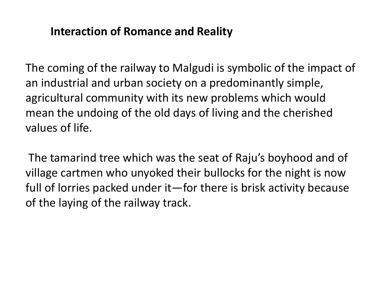# **Interaction of Romance and Reality**

The coming of the railway to Malgudi is symbolic of the impact of an industrial and urban society on a predominantly simple, agricultural community with its new problems which would mean the undoing of the old days of living and the cherished values of life.

The tamarind tree which was the seat of Raju's boyhood and of village cartmen who unyoked their bullocks for the night is now full of lorries packed under it—for there is brisk activity because of the laying of the railway track.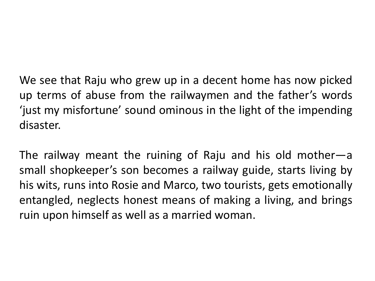We see that Raju who grew up in a decent home has now picked up terms of abuse from the railwaymen and the father's words 'just my misfortune' sound ominous in the light of the impending disaster.

The railway meant the ruining of Raju and his old mother—a small shopkeeper's son becomes a railway guide, starts living by his wits, runs into Rosie and Marco, two tourists, gets emotionally entangled, neglects honest means of making a living, and brings ruin upon himself as well as a married woman.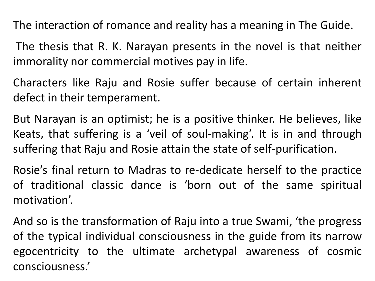The interaction of romance and reality has a meaning in The Guide.

The thesis that R. K. Narayan presents in the novel is that neither immorality nor commercial motives pay in life.

Characters like Raju and Rosie suffer because of certain inherent defect in their temperament.

But Narayan is an optimist; he is a positive thinker. He believes, like Keats, that suffering is a 'veil of soul-making'. It is in and through suffering that Raju and Rosie attain the state of self-purification.

Rosie's final return to Madras to re-dedicate herself to the practice of traditional classic dance is 'born out of the same spiritual motivation'.

And so is the transformation of Raju into a true Swami, 'the progress of the typical individual consciousness in the guide from its narrow egocentricity to the ultimate archetypal awareness of cosmic consciousness.'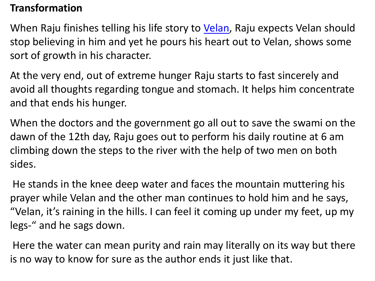### **Transformation**

When Raju finishes telling his life story to [Velan,](https://www.gradesaver.com/the-guide/study-guide/character-list) Raju expects Velan should stop believing in him and yet he pours his heart out to Velan, shows some sort of growth in his character.

At the very end, out of extreme hunger Raju starts to fast sincerely and avoid all thoughts regarding tongue and stomach. It helps him concentrate and that ends his hunger.

When the doctors and the government go all out to save the swami on the dawn of the 12th day, Raju goes out to perform his daily routine at 6 am climbing down the steps to the river with the help of two men on both sides.

He stands in the knee deep water and faces the mountain muttering his prayer while Velan and the other man continues to hold him and he says, "Velan, it's raining in the hills. I can feel it coming up under my feet, up my legs-" and he sags down.

Here the water can mean purity and rain may literally on its way but there is no way to know for sure as the author ends it just like that.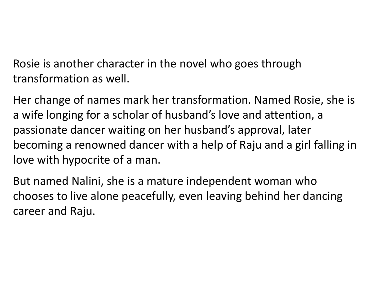Rosie is another character in the novel who goes through transformation as well.

Her change of names mark her transformation. Named Rosie, she is a wife longing for a scholar of husband's love and attention, a passionate dancer waiting on her husband's approval, later becoming a renowned dancer with a help of Raju and a girl falling in love with hypocrite of a man.

But named Nalini, she is a mature independent woman who chooses to live alone peacefully, even leaving behind her dancing career and Raju.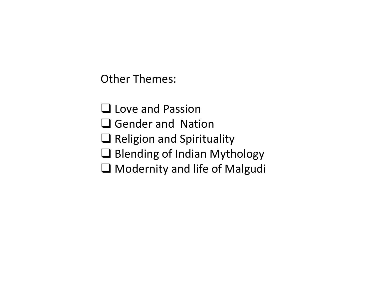Other Themes:

- **Q** Love and Passion
- **Q** Gender and Nation
- $\Box$  Religion and Spirituality
- $\square$  Blending of Indian Mythology
- □ Modernity and life of Malgudi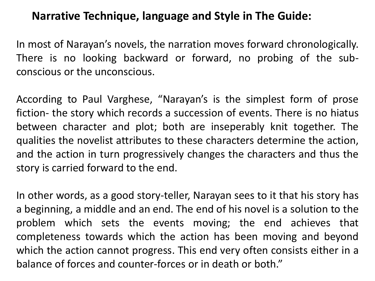# **Narrative Technique, language and Style in The Guide:**

In most of Narayan's novels, the narration moves forward chronologically. There is no looking backward or forward, no probing of the subconscious or the unconscious.

According to Paul Varghese, "Narayan's is the simplest form of prose fiction- the story which records a succession of events. There is no hiatus between character and plot; both are inseperably knit together. The qualities the novelist attributes to these characters determine the action, and the action in turn progressively changes the characters and thus the story is carried forward to the end.

In other words, as a good story-teller, Narayan sees to it that his story has a beginning, a middle and an end. The end of his novel is a solution to the problem which sets the events moving; the end achieves that completeness towards which the action has been moving and beyond which the action cannot progress. This end very often consists either in a balance of forces and counter-forces or in death or both."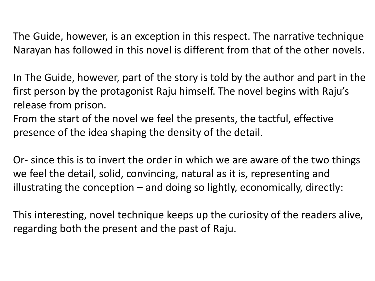The Guide, however, is an exception in this respect. The narrative technique Narayan has followed in this novel is different from that of the other novels.

In The Guide, however, part of the story is told by the author and part in the first person by the protagonist Raju himself. The novel begins with Raju's release from prison.

From the start of the novel we feel the presents, the tactful, effective presence of the idea shaping the density of the detail.

Or- since this is to invert the order in which we are aware of the two things we feel the detail, solid, convincing, natural as it is, representing and illustrating the conception – and doing so lightly, economically, directly:

This interesting, novel technique keeps up the curiosity of the readers alive, regarding both the present and the past of Raju.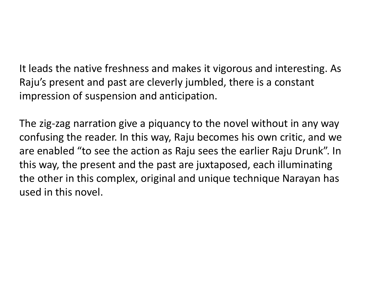It leads the native freshness and makes it vigorous and interesting. As Raju's present and past are cleverly jumbled, there is a constant impression of suspension and anticipation.

The zig-zag narration give a piquancy to the novel without in any way confusing the reader. In this way, Raju becomes his own critic, and we are enabled "to see the action as Raju sees the earlier Raju Drunk". In this way, the present and the past are juxtaposed, each illuminating the other in this complex, original and unique technique Narayan has used in this novel.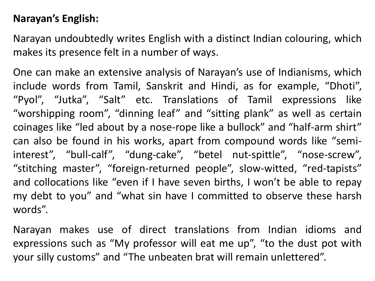# **Narayan's English:**

Narayan undoubtedly writes English with a distinct Indian colouring, which makes its presence felt in a number of ways.

One can make an extensive analysis of Narayan's use of Indianisms, which include words from Tamil, Sanskrit and Hindi, as for example, "Dhoti", "Pyol", "Jutka", "Salt" etc. Translations of Tamil expressions like "worshipping room", "dinning leaf" and "sitting plank" as well as certain coinages like "led about by a nose-rope like a bullock" and "half-arm shirt" can also be found in his works, apart from compound words like "semiinterest", "bull-calf", "dung-cake", "betel nut-spittle", "nose-screw", "stitching master", "foreign-returned people", slow-witted, "red-tapists" and collocations like "even if I have seven births, I won't be able to repay my debt to you" and "what sin have I committed to observe these harsh words".

Narayan makes use of direct translations from Indian idioms and expressions such as "My professor will eat me up", "to the dust pot with your silly customs" and "The unbeaten brat will remain unlettered".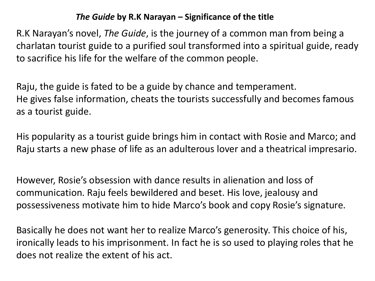#### *The Guide* **by R.K Narayan – Significance of the title**

R.K Narayan's novel, *The Guide*, is the journey of a common man from being a charlatan tourist guide to a purified soul transformed into a spiritual guide, ready to sacrifice his life for the welfare of the common people.

Raju, the guide is fated to be a guide by chance and temperament. He gives false information, cheats the tourists successfully and becomes famous as a tourist guide.

His popularity as a tourist guide brings him in contact with Rosie and Marco; and Raju starts a new phase of life as an adulterous lover and a theatrical impresario.

However, Rosie's obsession with dance results in alienation and loss of communication. Raju feels bewildered and beset. His love, jealousy and possessiveness motivate him to hide Marco's book and copy Rosie's signature.

Basically he does not want her to realize Marco's generosity. This choice of his, ironically leads to his imprisonment. In fact he is so used to playing roles that he does not realize the extent of his act.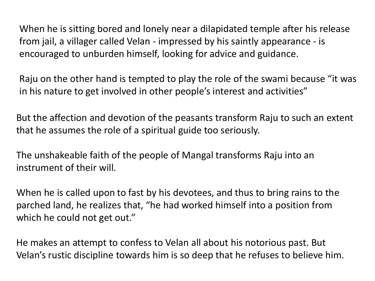When he is sitting bored and lonely near a dilapidated temple after his release from jail, a villager called Velan - impressed by his saintly appearance - is encouraged to unburden himself, looking for advice and guidance.

Raju on the other hand is tempted to play the role of the swami because "it was in his nature to get involved in other people's interest and activities"

But the affection and devotion of the peasants transform Raju to such an extent that he assumes the role of a spiritual guide too seriously.

The unshakeable faith of the people of Mangal transforms Raju into an instrument of their will.

When he is called upon to fast by his devotees, and thus to bring rains to the parched land, he realizes that, "he had worked himself into a position from which he could not get out."

He makes an attempt to confess to Velan all about his notorious past. But Velan's rustic discipline towards him is so deep that he refuses to believe him.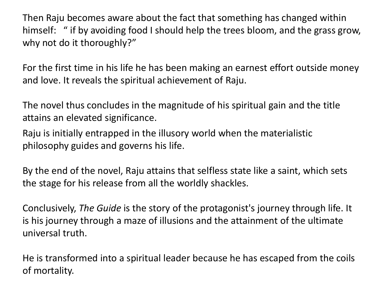Then Raju becomes aware about the fact that something has changed within himself: " if by avoiding food I should help the trees bloom, and the grass grow, why not do it thoroughly?"

For the first time in his life he has been making an earnest effort outside money and love. It reveals the spiritual achievement of Raju.

The novel thus concludes in the magnitude of his spiritual gain and the title attains an elevated significance.

Raju is initially entrapped in the illusory world when the materialistic philosophy guides and governs his life.

By the end of the novel, Raju attains that selfless state like a saint, which sets the stage for his release from all the worldly shackles.

Conclusively, *The Guide* is the story of the protagonist's journey through life. It is his journey through a maze of illusions and the attainment of the ultimate universal truth.

He is transformed into a spiritual leader because he has escaped from the coils of mortality.